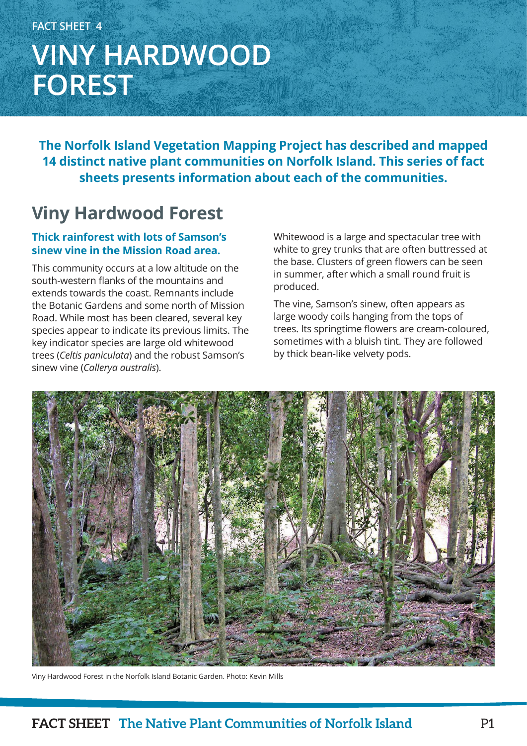# **FACT SHEET 4 VINY HARDWOOD FOREST**

**The Norfolk Island Vegetation Mapping Project has described and mapped 14 distinct native plant communities on Norfolk Island. This series of fact sheets presents information about each of the communities.**

## **Viny Hardwood Forest**

### **Thick rainforest with lots of Samson's sinew vine in the Mission Road area.**

This community occurs at a low altitude on the south-western flanks of the mountains and extends towards the coast. Remnants include the Botanic Gardens and some north of Mission Road. While most has been cleared, several key species appear to indicate its previous limits. The key indicator species are large old whitewood trees (*Celtis paniculata*) and the robust Samson's sinew vine (*Callerya australis*).

Whitewood is a large and spectacular tree with white to grey trunks that are often buttressed at the base. Clusters of green flowers can be seen in summer, after which a small round fruit is produced.

The vine, Samson's sinew, often appears as large woody coils hanging from the tops of trees. Its springtime flowers are cream-coloured, sometimes with a bluish tint. They are followed by thick bean-like velvety pods.



Viny Hardwood Forest in the Norfolk Island Botanic Garden. Photo: Kevin Mills